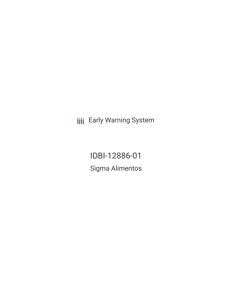**III** Early Warning System

IDBI-12886-01 Sigma Alimentos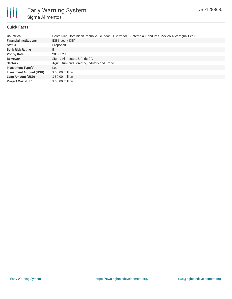

## **Quick Facts**

| <b>Countries</b>               | Costa Rica, Dominican Republic, Ecuador, El Salvador, Guatemala, Honduras, Mexico, Nicaragua, Peru |  |  |  |  |
|--------------------------------|----------------------------------------------------------------------------------------------------|--|--|--|--|
| <b>Financial Institutions</b>  | IDB Invest (IDBI)                                                                                  |  |  |  |  |
| <b>Status</b>                  | Proposed                                                                                           |  |  |  |  |
| <b>Bank Risk Rating</b>        | B                                                                                                  |  |  |  |  |
| <b>Voting Date</b>             | 2019-12-13                                                                                         |  |  |  |  |
| <b>Borrower</b>                | Sigma Alimentos, S.A. de C.V.                                                                      |  |  |  |  |
| <b>Sectors</b>                 | Agriculture and Forestry, Industry and Trade                                                       |  |  |  |  |
| <b>Investment Type(s)</b>      | Loan                                                                                               |  |  |  |  |
| <b>Investment Amount (USD)</b> | $$50.00$ million                                                                                   |  |  |  |  |
| <b>Loan Amount (USD)</b>       | $$50.00$ million                                                                                   |  |  |  |  |
| <b>Project Cost (USD)</b>      | $$50.00$ million                                                                                   |  |  |  |  |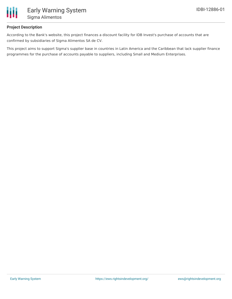

# **Project Description**

According to the Bank's website, this project finances a discount facility for IDB Invest's purchase of accounts that are confirmed by subsidiaries of Sigma Alimentos SA de CV.

This project aims to support Sigma's supplier base in countries in Latin America and the Caribbean that lack supplier finance programmes for the purchase of accounts payable to suppliers, including Small and Medium Enterprises.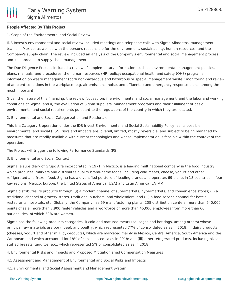### **People Affected By This Project**

### 1. Scope of the Environmental and Social Review

IDB Invest's environmental and social review included meetings and telephone calls with Sigma Alimentos' management teams in Mexico, as well as with the persons responsible for the environment, sustainability, human resources, and the Company's supply chain. The review included an analysis of the Company's environmental and social management process and its approach to supply chain management.

The Due Diligence Process included a review of supplementary information, such as environmental management policies, plans, manuals, and procedures; the human resources (HR) policy; occupational health and safety (OHS) programs; information on waste management (both non-hazardous and hazardous or special management waste); monitoring and review of ambient conditions in the workplace (e.g. air emissions, noise, and effluents); and emergency response plans, among the most important

Given the nature of this financing, the review focused on: i) environmental and social management, and the labor and working conditions of Sigma; and ii) the evaluation of Sigma suppliers' management programs and their fulfillment of basic environmental and social requirements pursuant to the regulations of the country in which they are located.

### 2. Environmental and Social Categorization and Reationale

This is a Category B operation under the IDB Invest Environmental and Social Sustainability Policy, as its possible environmental and social (E&S) risks and impacts are, overall, limited, mostly reversible, and subject to being managed by measures that are readily available with current technologies and whose implementation is feasible within the context of the operation.

The Project will trigger the following Performance Standards (PS):

3. Environmental and Social Context

Sigma, a subsidiary of Grupo Alfa incorporated in 1971 in Mexico, is a leading multinational company in the food industry, which produces, markets and distributes quality brand-name foods, including cold meats, cheese, yogurt and other refrigerated and frozen food. Sigma has a diversified portfolio of leading brands and operates 69 plants in 18 countries in four key regions: Mexico, Europe, the United States of America (USA) and Latin America (LATAM).

Sigma distributes its products through: (i) a modern channel of supermarkets, hypermarkets, and convenience stores; (ii) a traditional channel of grocery stores, traditional butchers, and wholesalers; and (iii) a food service channel for hotels, restaurants, hospitals, etc. Globally, the Company has 69 manufacturing plants, 208 distribution centers, more than 640,000 points of sale, more than 7,900 reefer vehicles and a workforce of more than 45,000 employees from more than 60 nationalities, of which 39% are women.

Sigma has the following products categories: i) cold and matured meats (sausages and hot dogs, among others) whose principal raw materials are pork, beef, and poultry, which represented 77% of consolidated sales in 2018; ii) dairy products (cheeses, yogurt and other milk by-products), which are marketed mainly in Mexico, Central America, South America and the Caribbean, and which accounted for 18% of consolidated sales in 2018; and (iii) other refrigerated products, including pizzas, stuffed breasts, taquitos, etc., which represented 5% of consolidated sales in 2018.

4. Environmental Risks and Impacts and Proposed Mitigation aned Compensation Measures

- 4.1 Assessment and Management of Environmental and Social Risks and Impacts
- 4.1.a Environmental and Social Assessment and Management System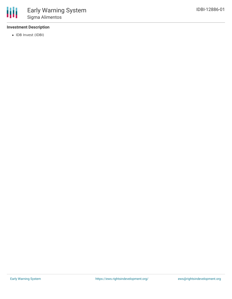

# **Investment Description**

• IDB Invest (IDBI)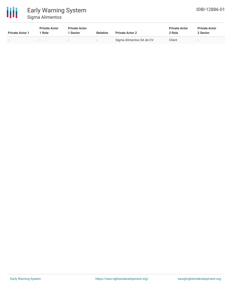

| <b>Private Actor 1</b> | <b>Private Actor</b><br><sup>1</sup> Role | <b>Private Actor</b><br>1 Sector | <b>Relation</b> | <b>Private Actor 2</b>   | <b>Private Actor</b><br>2 Role | <b>Private Actor</b><br>2 Sector |  |
|------------------------|-------------------------------------------|----------------------------------|-----------------|--------------------------|--------------------------------|----------------------------------|--|
| $\sim$                 | $\sim$                                    | $\sim$                           | $\sim$          | Sigma Alimentos SA de CV | Client                         | $\overline{\phantom{a}}$         |  |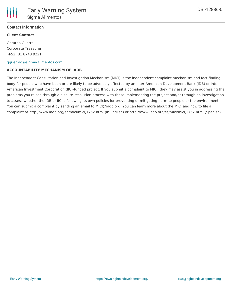

## **Contact Information**

### **Client Contact**

Gerardo Guerra Corporate Treasurer [+52] 81 8748 9221

#### [gguerraq@sigma-alimentos.com](mailto:gguerraq@sigma-alimentos.com)

#### **ACCOUNTABILITY MECHANISM OF IADB**

The Independent Consultation and Investigation Mechanism (MICI) is the independent complaint mechanism and fact-finding body for people who have been or are likely to be adversely affected by an Inter-American Development Bank (IDB) or Inter-American Investment Corporation (IIC)-funded project. If you submit a complaint to MICI, they may assist you in addressing the problems you raised through a dispute-resolution process with those implementing the project and/or through an investigation to assess whether the IDB or IIC is following its own policies for preventing or mitigating harm to people or the environment. You can submit a complaint by sending an email to MICI@iadb.org. You can learn more about the MICI and how to file a complaint at http://www.iadb.org/en/mici/mici,1752.html (in English) or http://www.iadb.org/es/mici/mici,1752.html (Spanish).